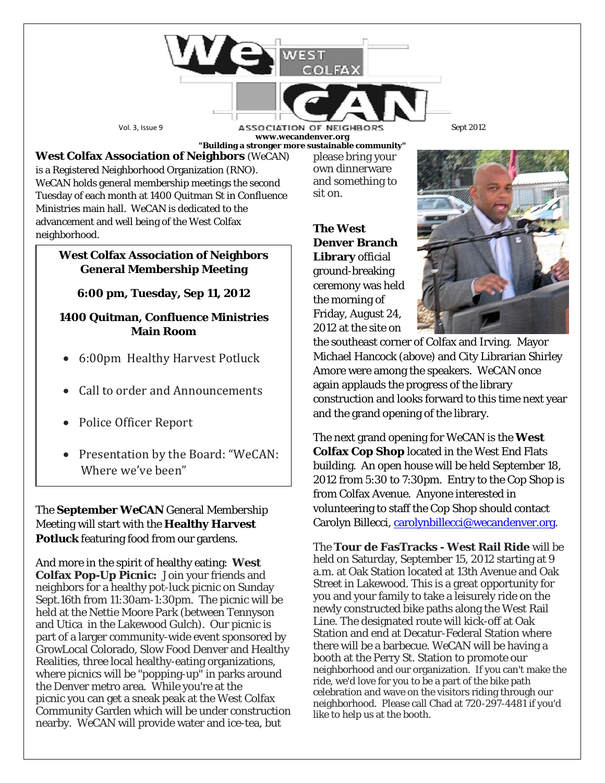Vol. 3, Issue 9 **ASSOCIATION OF NEIGHBORS** Sept 2012 **www.wecandenver.org "Building a stronger more sustainable community"**

**West Colfax Association of Neighbors** (*WeCAN*) is a Registered Neighborhood Organization (RNO). *WeCAN* holds general membership meetings the second Tuesday of each month at 1400 Quitman St in Confluence Ministries main hall. *WeCAN* is dedicated to the advancement and well being of the West Colfax neighborhood.

## **West Colfax Association of Neighbors General Membership Meeting**

**6:00 pm, Tuesday, Sep 11, 2012**

## **1400 Quitman, Confluence Ministries Main Room**

- 6:00pm Healthy Harvest Potluck
- Call to order and Announcements
- Police Officer Report
- Presentation by the Board: "WeCAN: Where we've been"

The **September** *WeCAN* General Membership Meeting will start with the **Healthy Harvest Potluck** featuring food from our gardens.

And more in the spirit of healthy eating: **West Colfax Pop-Up Picnic:** Join your friends and neighbors for a healthy pot*-*luck picnic on Sunday Sept.16th from 11:30am-1:30pm. The picnic will be held at the Nettie Moore Park (between Tennyson and Utica in the Lakewood Gulch). Our picnic is part of a larger community-wide event sponsored by GrowLocal Colorado, Slow Food Denver and Healthy Realities, three local healthy-eating organizations, where picnics will be "popping-up" in parks around the Denver metro area. While you're at the picnic you can get a sneak peak at the West Colfax Community Garden which will be under construction nearby. *WeCAN* will provide water and ice-tea, but

own dinnerware and something to sit on. **The West Denver Branch** 

please bring your

**Library** official ground-breaking ceremony was held the morning of Friday, August 24, 2012 at the site on



the southeast corner of Colfax and Irving. Mayor Michael Hancock (above) and City Librarian Shirley Amore were among the speakers. *WeCAN* once again applauds the progress of the library construction and looks forward to this time next year and the grand opening of the library.

The next grand opening for *WeCAN* is the **West Colfax Cop Shop** located in the West End Flats building. An open house will be held September 18, 2012 from 5:30 to 7:30pm. Entry to the Cop Shop is from Colfax Avenue. Anyone interested in volunteering to staff the Cop Shop should contact Carolyn Billecci, [carolynbillecci@wecandenver.org.](mailto:carolynbillecci@wecandenver.org)

The **Tour de FasTracks - West Rail Ride** will be held on Saturday, September 15, 2012 starting at 9 a.m. at Oak Station located at 13th Avenue and Oak Street in Lakewood. This is a great opportunity for you and your family to take a leisurely ride on the newly constructed bike paths along the West Rail Line. The designated route will kick-off at Oak Station and end at Decatur-Federal Station where there will be a barbecue. *WeCAN* will be having a booth at the Perry St. Station to promote our neighborhood and our organization. If you can't make the ride, we'd love for you to be a part of the bike path celebration and wave on the visitors riding through our neighborhood. Please call Chad at 720-297-4481 if you'd like to help us at the booth.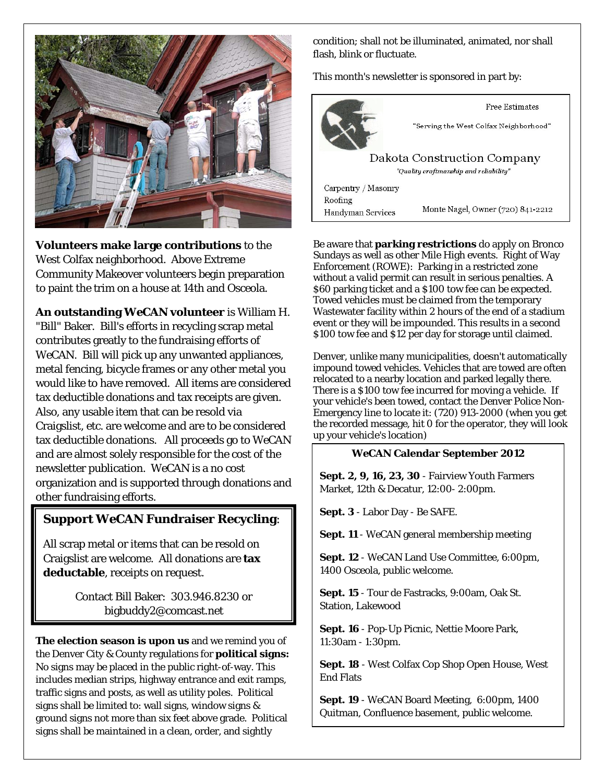

**Volunteers make large contributions** to the West Colfax neighborhood. Above Extreme Community Makeover volunteers begin preparation to paint the trim on a house at 14th and Osceola.

**An outstanding** *WeCAN* **volunteer** is William H. "Bill" Baker. Bill's efforts in recycling scrap metal contributes greatly to the fundraising efforts of *WeCAN*. Bill will pick up any unwanted appliances, metal fencing, bicycle frames or any other metal you would like to have removed. All items are considered tax deductible donations and tax receipts are given. Also, any usable item that can be resold via Craigslist, etc. are welcome and are to be considered tax deductible donations. All proceeds go to *WeCAN* and are almost solely responsible for the cost of the newsletter publication*. WeCAN* is a no cost organization and is supported through donations and other fundraising efforts.

## **Support** *WeCAN* **Fundraiser Recycling**:

All scrap metal or items that can be resold on Craigslist are welcome. All donations are **tax deductable**, receipts on request.

> Contact Bill Baker: 303.946.8230 or bigbuddy2@comcast.net

**The election season is upon us** and we remind you of the Denver City & County regulations for **political signs:** No signs may be placed in the public right-of-way. This includes median strips, highway entrance and exit ramps, traffic signs and posts, as well as utility poles. Political signs shall be limited to: wall signs, window signs & ground signs not more than six feet above grade. Political signs shall be maintained in a clean, order, and sightly

condition; shall not be illuminated, animated, nor shall flash, blink or fluctuate.

This month's newsletter is sponsored in part by:



Be aware that **parking restrictions** do apply on Bronco Sundays as well as other Mile High events. Right of Way Enforcement (ROWE): Parking in a restricted zone without a valid permit can result in serious penalties. A \$60 parking ticket and a \$100 tow fee can be expected. Towed vehicles must be claimed from the temporary Wastewater facility within 2 hours of the end of a stadium event or they will be impounded. This results in a second \$100 tow fee and \$12 per day for storage until claimed.

Denver, unlike many municipalities, doesn't automatically impound towed vehicles. Vehicles that are towed are often relocated to a nearby location and parked legally there. There is a \$100 tow fee incurred for moving a vehicle. If your vehicle's been towed, contact the Denver Police Non-Emergency line to locate it: (720) 913-2000 (when you get the recorded message, hit 0 for the operator, they will look up your vehicle's location)

## *WeCAN* **Calendar September 2012**

**Sept. 2, 9, 16, 23, 30** - Fairview Youth Farmers Market, 12th & Decatur, 12:00- 2:00pm.

**Sept. 3** - Labor Day - Be SAFE.

**Sept. 11** - *WeCAN* general membership meeting

**Sept. 12** - *WeCAN* Land Use Committee, 6:00pm, 1400 Osceola, public welcome.

**Sept. 15** - Tour de Fastracks, 9:00am, Oak St. Station, Lakewood

**Sept. 16** - Pop-Up Picnic, Nettie Moore Park, 11:30am - 1:30pm.

**Sept. 18** - West Colfax Cop Shop Open House, West End Flats

**Sept. 19** - *WeCAN* Board Meeting, 6:00pm, 1400 Quitman, Confluence basement, public welcome.